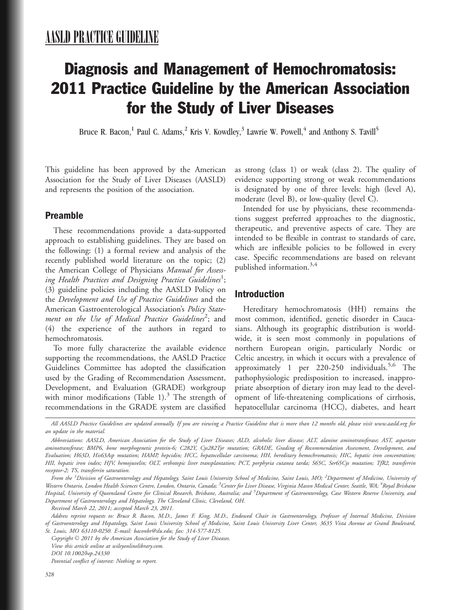# Diagnosis and Management of Hemochromatosis: 2011 Practice Guideline by the American Association for the Study of Liver Diseases

Bruce R. Bacon,<sup>1</sup> Paul C. Adams,<sup>2</sup> Kris V. Kowdley,<sup>3</sup> Lawrie W. Powell,<sup>4</sup> and Anthony S. Tavill<sup>5</sup>

This guideline has been approved by the American Association for the Study of Liver Diseases (AASLD) and represents the position of the association.

# Preamble

These recommendations provide a data-supported approach to establishing guidelines. They are based on the following: (1) a formal review and analysis of the recently published world literature on the topic; (2) the American College of Physicians Manual for Assessing Health Practices and Designing Practice Guidelines<sup>1</sup>; (3) guideline policies including the AASLD Policy on the Development and Use of Practice Guidelines and the American Gastroenterological Association's Policy Statement on the Use of Medical Practice Guidelines<sup>2</sup>; and (4) the experience of the authors in regard to hemochromatosis.

To more fully characterize the available evidence supporting the recommendations, the AASLD Practice Guidelines Committee has adopted the classification used by the Grading of Recommendation Assessment, Development, and Evaluation (GRADE) workgroup with minor modifications (Table 1). $3$  The strength of recommendations in the GRADE system are classified

as strong (class 1) or weak (class 2). The quality of evidence supporting strong or weak recommendations is designated by one of three levels: high (level A), moderate (level B), or low-quality (level C).

Intended for use by physicians, these recommendations suggest preferred approaches to the diagnostic, therapeutic, and preventive aspects of care. They are intended to be flexible in contrast to standards of care, which are inflexible policies to be followed in every case. Specific recommendations are based on relevant published information.<sup>3,4</sup>

# Introduction

Hereditary hemochromatosis (HH) remains the most common, identified, genetic disorder in Caucasians. Although its geographic distribution is worldwide, it is seen most commonly in populations of northern European origin, particularly Nordic or Celtic ancestry, in which it occurs with a prevalence of approximately 1 per 220-250 individuals.<sup>5,6</sup> The pathophysiologic predisposition to increased, inappropriate absorption of dietary iron may lead to the development of life-threatening complications of cirrhosis, hepatocellular carcinoma (HCC), diabetes, and heart

All AASLD Practice Guidelines are updated annually. If you are viewing a Practice Guideline that is more than 12 months old, please visit www.aasld.org for an update in the material.

Potential conflict of interest: Nothing to report.

Abbreviations: AASLD, American Association for the Study of Liver Diseases; ALD, alcoholic liver disease; ALT, alanine aminotransferase; AST, aspartate aminotransferase; BMP6, bone morphogenetic protein-6; C282Y, Cys282Tyr mutation; GRADE, Grading of Recommendation Assessment, Development, and Evaluation; H63D, His63Asp mutation; HAMP, hepcidin; HCC, hepatocellular carcinoma; HH, hereditary hemochromatosis; HIC, hepatic iron concentration; HII, hepatic iron index; HJV, hemojuvelin; OLT, orthotopic liver transplantation; PCT, porphyria cutanea tarda; S65C, Ser65Cys mutation; TfR2, transferrin receptor-2; TS, transferrin saturation.

From the <sup>1</sup>Division of Gastroenterology and Hepatology, Saint Louis University School of Medicine, Saint Louis, MO; <sup>2</sup>Department of Medicine, University of Western Ontario, London Health Sciences Centre, London, Ontario, Canada; <sup>3</sup>Center for Liver Disease, Virginia Mason Medical Center, Seattle, WA; <sup>4</sup>Royal Brisbane Hospital, University of Queensland Centre for Clinical Research, Brisbane, Australia; and <sup>5</sup>Department of Gastroenterology, Case Western Reserve University, and Department of Gastroenterology and Hepatology, The Cleveland Clinic, Cleveland, OH.

Received March 22, 2011; accepted March 23, 2011.

Address reprint requests to: Bruce R. Bacon, M.D., James F. King, M.D., Endowed Chair in Gastroenterology, Professor of Internal Medicine, Division of Gastroenterology and Hepatology, Saint Louis University School of Medicine, Saint Louis University Liver Center, 3635 Vista Avenue at Grand Boulevard, St. Louis, MO 63110-0250. E-mail: baconbr@slu.edu; fax: 314-577-8125.

Copyright  $\odot$  2011 by the American Association for the Study of Liver Diseases. View this article online at wileyonlinelibrary.com. DOI 10.1002/hep.24330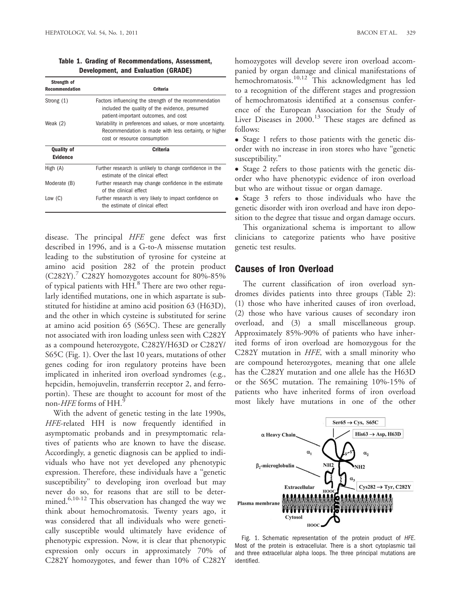| Table 1. Grading of Recommendations, Assessment, |  |  |
|--------------------------------------------------|--|--|
| Development, and Evaluation (GRADE)              |  |  |

| Strength of<br><b>Recommendation</b> | <b>Criteria</b>                                                                                                                                      |
|--------------------------------------|------------------------------------------------------------------------------------------------------------------------------------------------------|
| Strong (1)                           | Factors influencing the strength of the recommendation<br>included the quality of the evidence, presumed<br>patient-important outcomes, and cost     |
| Weak $(2)$                           | Variability in preferences and values, or more uncertainty.<br>Recommendation is made with less certainty, or higher<br>cost or resource consumption |
| <b>Quality of</b><br><b>Evidence</b> | Criteria                                                                                                                                             |
| High $(A)$                           | Further research is unlikely to change confidence in the<br>estimate of the clinical effect                                                          |
| Moderate (B)                         | Further research may change confidence in the estimate<br>of the clinical effect                                                                     |
| Low (C)                              | Further research is very likely to impact confidence on<br>the estimate of clinical effect                                                           |

disease. The principal HFE gene defect was first described in 1996, and is a G-to-A missense mutation leading to the substitution of tyrosine for cysteine at amino acid position 282 of the protein product  $(C282Y)$ .  $C282Y$  homozygotes account for 80%-85% of typical patients with HH.<sup>8</sup> There are two other regularly identified mutations, one in which aspartate is substituted for histidine at amino acid position 63 (H63D), and the other in which cysteine is substituted for serine at amino acid position 65 (S65C). These are generally not associated with iron loading unless seen with C282Y as a compound heterozygote, C282Y/H63D or C282Y/ S65C (Fig. 1). Over the last 10 years, mutations of other genes coding for iron regulatory proteins have been implicated in inherited iron overload syndromes (e.g., hepcidin, hemojuvelin, transferrin receptor 2, and ferroportin). These are thought to account for most of the non-*HFE* forms of HH.<sup>5</sup>

With the advent of genetic testing in the late 1990s, HFE-related HH is now frequently identified in asymptomatic probands and in presymptomatic relatives of patients who are known to have the disease. Accordingly, a genetic diagnosis can be applied to individuals who have not yet developed any phenotypic expression. Therefore, these individuals have a ''genetic susceptibility'' to developing iron overload but may never do so, for reasons that are still to be determined.6,10-12 This observation has changed the way we think about hemochromatosis. Twenty years ago, it was considered that all individuals who were genetically susceptible would ultimately have evidence of phenotypic expression. Now, it is clear that phenotypic expression only occurs in approximately 70% of C282Y homozygotes, and fewer than 10% of C282Y

homozygotes will develop severe iron overload accompanied by organ damage and clinical manifestations of hemochromatosis.10,12 This acknowledgment has led to a recognition of the different stages and progression of hemochromatosis identified at a consensus conference of the European Association for the Study of Liver Diseases in  $2000$ .<sup>13</sup> These stages are defined as follows:

• Stage 1 refers to those patients with the genetic disorder with no increase in iron stores who have ''genetic susceptibility.''

• Stage 2 refers to those patients with the genetic disorder who have phenotypic evidence of iron overload but who are without tissue or organ damage.

• Stage 3 refers to those individuals who have the genetic disorder with iron overload and have iron deposition to the degree that tissue and organ damage occurs.

This organizational schema is important to allow clinicians to categorize patients who have positive genetic test results.

# Causes of Iron Overload

The current classification of iron overload syndromes divides patients into three groups (Table 2): (1) those who have inherited causes of iron overload, (2) those who have various causes of secondary iron overload, and (3) a small miscellaneous group. Approximately 85%-90% of patients who have inherited forms of iron overload are homozygous for the C282Y mutation in *HFE*, with a small minority who are compound heterozygotes, meaning that one allele has the C282Y mutation and one allele has the H63D or the S65C mutation. The remaining 10%-15% of patients who have inherited forms of iron overload most likely have mutations in one of the other



Fig. 1. Schematic representation of the protein product of HFE. Most of the protein is extracellular. There is a short cytoplasmic tail and three extracellular alpha loops. The three principal mutations are identified.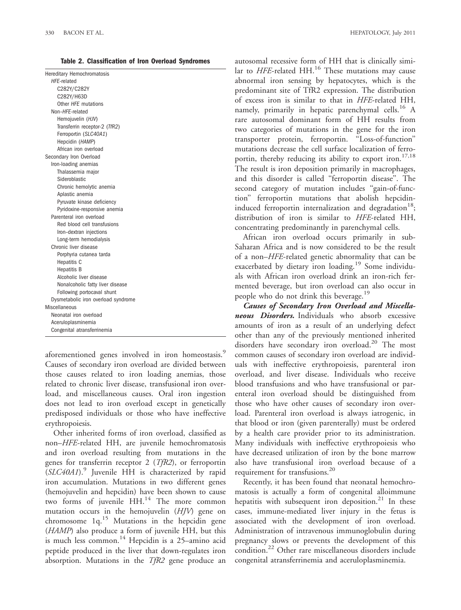|  |  | Table 2. Classification of Iron Overload Syndromes |  |  |  |
|--|--|----------------------------------------------------|--|--|--|
|--|--|----------------------------------------------------|--|--|--|

| Hereditary Hemochromatosis          |
|-------------------------------------|
| HFE-related                         |
| C282Y/C282Y                         |
| C282Y/H63D                          |
| Other HFE mutations                 |
| Non-HFE-related                     |
| Hemojuvelin (HJV)                   |
| Transferrin receptor-2 (TfR2)       |
| Ferroportin (SLC40A1)               |
| Hepcidin (HAMP)                     |
| African iron overload               |
| Secondary Iron Overload             |
| Iron-loading anemias                |
| Thalassemia major                   |
| Sideroblastic                       |
| Chronic hemolytic anemia            |
| Aplastic anemia                     |
| Pyruvate kinase deficiency          |
| Pyridoxine-responsive anemia        |
| Parenteral iron overload            |
| Red blood cell transfusions         |
| Iron-dextran injections             |
| Long-term hemodialysis              |
| Chronic liver disease               |
| Porphyria cutanea tarda             |
| Hepatitis C                         |
| Hepatitis B                         |
| Alcoholic liver disease             |
| Nonalcoholic fatty liver disease    |
| Following portocaval shunt          |
| Dysmetabolic iron overload syndrome |
| Miscellaneous                       |
| Neonatal iron overload              |
| Aceruloplasminemia                  |
| Congenital atransferrinemia         |

aforementioned genes involved in iron homeostasis.<sup>9</sup> Causes of secondary iron overload are divided between those causes related to iron loading anemias, those related to chronic liver disease, transfusional iron overload, and miscellaneous causes. Oral iron ingestion does not lead to iron overload except in genetically predisposed individuals or those who have ineffective erythropoiesis.

Other inherited forms of iron overload, classified as non–HFE-related HH, are juvenile hemochromatosis and iron overload resulting from mutations in the genes for transferrin receptor 2 (TfR2), or ferroportin  $(SLCAOAI)^9$  Juvenile HH is characterized by rapid iron accumulation. Mutations in two different genes (hemojuvelin and hepcidin) have been shown to cause two forms of juvenile  $HH<sup>14</sup>$ . The more common mutation occurs in the hemojuvelin (HJV) gene on chromosome 1q.15 Mutations in the hepcidin gene (HAMP) also produce a form of juvenile HH, but this is much less common.<sup>14</sup> Hepcidin is a 25–amino acid peptide produced in the liver that down-regulates iron absorption. Mutations in the TfR2 gene produce an

autosomal recessive form of HH that is clinically similar to  $HFE$ -related  $HH<sup>16</sup>$ . These mutations may cause abnormal iron sensing by hepatocytes, which is the predominant site of TfR2 expression. The distribution of excess iron is similar to that in HFE-related HH, namely, primarily in hepatic parenchymal cells.<sup>16</sup> A rare autosomal dominant form of HH results from two categories of mutations in the gene for the iron transporter protein, ferroportin. ''Loss-of-function'' mutations decrease the cell surface localization of ferroportin, thereby reducing its ability to export iron.<sup>17,18</sup> The result is iron deposition primarily in macrophages, and this disorder is called ''ferroportin disease''. The second category of mutation includes ''gain-of-function'' ferroportin mutations that abolish hepcidininduced ferroportin internalization and degradation<sup>18</sup>; distribution of iron is similar to HFE-related HH, concentrating predominantly in parenchymal cells.

African iron overload occurs primarily in sub-Saharan Africa and is now considered to be the result of a non-HFE-related genetic abnormality that can be exacerbated by dietary iron loading.<sup>19</sup> Some individuals with African iron overload drink an iron-rich fermented beverage, but iron overload can also occur in people who do not drink this beverage.<sup>19</sup>

Causes of Secondary Iron Overload and Miscellaneous Disorders. Individuals who absorb excessive amounts of iron as a result of an underlying defect other than any of the previously mentioned inherited disorders have secondary iron overload.<sup>20</sup> The most common causes of secondary iron overload are individuals with ineffective erythropoiesis, parenteral iron overload, and liver disease. Individuals who receive blood transfusions and who have transfusional or parenteral iron overload should be distinguished from those who have other causes of secondary iron overload. Parenteral iron overload is always iatrogenic, in that blood or iron (given parenterally) must be ordered by a health care provider prior to its administration. Many individuals with ineffective erythropoiesis who have decreased utilization of iron by the bone marrow also have transfusional iron overload because of a requirement for transfusions.<sup>20</sup>

Recently, it has been found that neonatal hemochromatosis is actually a form of congenital alloimmune hepatitis with subsequent iron deposition.<sup>21</sup> In these cases, immune-mediated liver injury in the fetus is associated with the development of iron overload. Administration of intravenous immunoglobulin during pregnancy slows or prevents the development of this condition.<sup>22</sup> Other rare miscellaneous disorders include congenital atransferrinemia and aceruloplasminemia.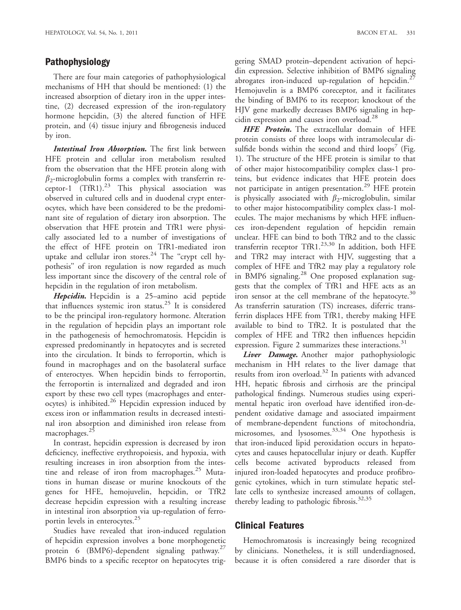# Pathophysiology

There are four main categories of pathophysiological mechanisms of HH that should be mentioned: (1) the increased absorption of dietary iron in the upper intestine, (2) decreased expression of the iron-regulatory hormone hepcidin, (3) the altered function of HFE protein, and (4) tissue injury and fibrogenesis induced by iron.

**Intestinal Iron Absorption.** The first link between HFE protein and cellular iron metabolism resulted from the observation that the HFE protein along with  $\beta_2$ -microglobulin forms a complex with transferrin receptor-1  $(TFR1).^{23}$  This physical association was observed in cultured cells and in duodenal crypt enterocytes, which have been considered to be the predominant site of regulation of dietary iron absorption. The observation that HFE protein and TfR1 were physically associated led to a number of investigations of the effect of HFE protein on TfR1-mediated iron uptake and cellular iron stores.<sup>24</sup> The "crypt cell hypothesis'' of iron regulation is now regarded as much less important since the discovery of the central role of hepcidin in the regulation of iron metabolism.

Hepcidin. Hepcidin is a 25-amino acid peptide that influences systemic iron status.<sup>25</sup> It is considered to be the principal iron-regulatory hormone. Alteration in the regulation of hepcidin plays an important role in the pathogenesis of hemochromatosis. Hepcidin is expressed predominantly in hepatocytes and is secreted into the circulation. It binds to ferroportin, which is found in macrophages and on the basolateral surface of enteroctyes. When hepcidin binds to ferroportin, the ferroportin is internalized and degraded and iron export by these two cell types (macrophages and enterocytes) is inhibited. $^{26}$  Hepcidin expression induced by excess iron or inflammation results in decreased intestinal iron absorption and diminished iron release from macrophages.<sup>25</sup>

In contrast, hepcidin expression is decreased by iron deficiency, ineffective erythropoiesis, and hypoxia, with resulting increases in iron absorption from the intestine and release of iron from macrophages.<sup>25</sup> Mutations in human disease or murine knockouts of the genes for HFE, hemojuvelin, hepcidin, or TfR2 decrease hepcidin expression with a resulting increase in intestinal iron absorption via up-regulation of ferroportin levels in enterocytes.<sup>25</sup>

Studies have revealed that iron-induced regulation of hepcidin expression involves a bone morphogenetic protein 6 (BMP6)-dependent signaling pathway.<sup>27</sup> BMP6 binds to a specific receptor on hepatocytes triggering SMAD protein–dependent activation of hepcidin expression. Selective inhibition of BMP6 signaling abrogates iron-induced up-regulation of hepcidin.<sup>27</sup> Hemojuvelin is a BMP6 coreceptor, and it facilitates the binding of BMP6 to its receptor; knockout of the HJV gene markedly decreases BMP6 signaling in hepcidin expression and causes iron overload.<sup>28</sup>

HFE Protein. The extracellular domain of HFE protein consists of three loops with intramolecular disulfide bonds within the second and third  $\log^7$  (Fig. 1). The structure of the HFE protein is similar to that of other major histocompatibility complex class-1 proteins, but evidence indicates that HFE protein does not participate in antigen presentation.<sup>29</sup> HFE protein is physically associated with  $\beta_2$ -microglobulin, similar to other major histocompatibility complex class-1 molecules. The major mechanisms by which HFE influences iron-dependent regulation of hepcidin remain unclear. HFE can bind to both TfR2 and to the classic transferrin receptor TfR1.<sup>23,30</sup> In addition, both HFE and TfR2 may interact with HJV, suggesting that a complex of HFE and TfR2 may play a regulatory role in BMP6 signaling.<sup>28</sup> One proposed explanation suggests that the complex of TfR1 and HFE acts as an iron sensor at the cell membrane of the hepatocyte. $30$ As transferrin saturation (TS) increases, diferric transferrin displaces HFE from TfR1, thereby making HFE available to bind to TfR2. It is postulated that the complex of HFE and TfR2 then influences hepcidin expression. Figure 2 summarizes these interactions.<sup>31</sup>

Liver Damage. Another major pathophysiologic mechanism in HH relates to the liver damage that results from iron overload. $32$  In patients with advanced HH, hepatic fibrosis and cirrhosis are the principal pathological findings. Numerous studies using experimental hepatic iron overload have identified iron-dependent oxidative damage and associated impairment of membrane-dependent functions of mitochondria, microsomes, and lysosomes.<sup>33,34</sup> One hypothesis is that iron-induced lipid peroxidation occurs in hepatocytes and causes hepatocellular injury or death. Kupffer cells become activated byproducts released from injured iron-loaded hepatocytes and produce profibrogenic cytokines, which in turn stimulate hepatic stellate cells to synthesize increased amounts of collagen, thereby leading to pathologic fibrosis.<sup>32,35</sup>

# Clinical Features

Hemochromatosis is increasingly being recognized by clinicians. Nonetheless, it is still underdiagnosed, because it is often considered a rare disorder that is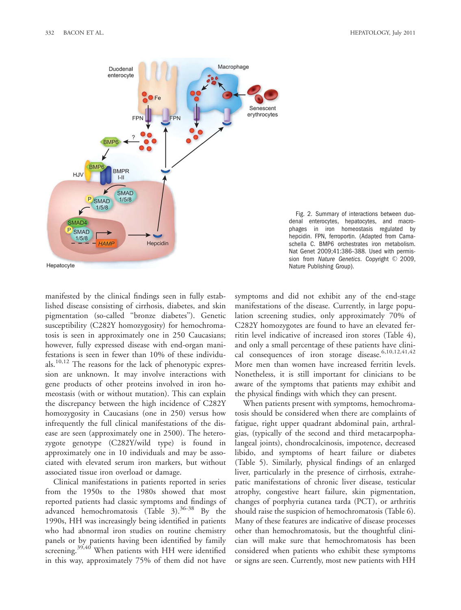

Fig. 2. Summary of interactions between duodenal enterocytes, hepatocytes, and macrophages in iron homeostasis regulated by hepcidin. FPN, ferroportin. (Adapted from Camaschella C. BMP6 orchestrates iron metabolism. Nat Genet 2009;41:386–388. Used with permission from Nature Genetics. Copyright © 2009, Nature Publishing Group).

manifested by the clinical findings seen in fully established disease consisting of cirrhosis, diabetes, and skin pigmentation (so-called ''bronze diabetes''). Genetic susceptibility (C282Y homozygosity) for hemochromatosis is seen in approximately one in 250 Caucasians; however, fully expressed disease with end-organ manifestations is seen in fewer than 10% of these individuals.10,12 The reasons for the lack of phenotypic expression are unknown. It may involve interactions with gene products of other proteins involved in iron homeostasis (with or without mutation). This can explain the discrepancy between the high incidence of C282Y homozygosity in Caucasians (one in 250) versus how infrequently the full clinical manifestations of the disease are seen (approximately one in 2500). The heterozygote genotype (C282Y/wild type) is found in approximately one in 10 individuals and may be associated with elevated serum iron markers, but without associated tissue iron overload or damage.

Clinical manifestations in patients reported in series from the 1950s to the 1980s showed that most reported patients had classic symptoms and findings of advanced hemochromatosis (Table  $3$ ).<sup>36-38</sup> By the 1990s, HH was increasingly being identified in patients who had abnormal iron studies on routine chemistry panels or by patients having been identified by family screening.<sup>39,40</sup> When patients with HH were identified in this way, approximately 75% of them did not have

symptoms and did not exhibit any of the end-stage manifestations of the disease. Currently, in large population screening studies, only approximately 70% of C282Y homozygotes are found to have an elevated ferritin level indicative of increased iron stores (Table 4), and only a small percentage of these patients have clinical consequences of iron storage disease.<sup>6,10,12,41,42</sup> More men than women have increased ferritin levels. Nonetheless, it is still important for clinicians to be aware of the symptoms that patients may exhibit and the physical findings with which they can present.

When patients present with symptoms, hemochromatosis should be considered when there are complaints of fatigue, right upper quadrant abdominal pain, arthralgias, (typically of the second and third metacarpophalangeal joints), chondrocalcinosis, impotence, decreased libido, and symptoms of heart failure or diabetes (Table 5). Similarly, physical findings of an enlarged liver, particularly in the presence of cirrhosis, extrahepatic manifestations of chronic liver disease, testicular atrophy, congestive heart failure, skin pigmentation, changes of porphyria cutanea tarda (PCT), or arthritis should raise the suspicion of hemochromatosis (Table 6). Many of these features are indicative of disease processes other than hemochromatosis, but the thoughtful clinician will make sure that hemochromatosis has been considered when patients who exhibit these symptoms or signs are seen. Currently, most new patients with HH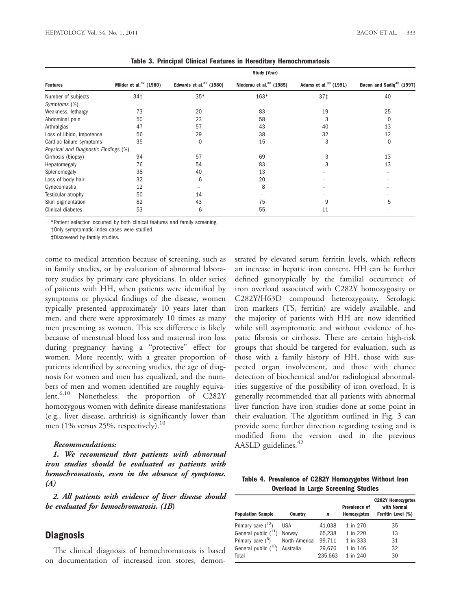|                                      | Study (Year)              |                            |                                |                                   |                                      |  |  |
|--------------------------------------|---------------------------|----------------------------|--------------------------------|-----------------------------------|--------------------------------------|--|--|
| <b>Features</b>                      | Milder et al. $37$ (1980) | Edwards et al. $36$ (1980) | Niederau et al. $^{38}$ (1985) | Adams et al. <sup>39</sup> (1991) | Bacon and Sadiq <sup>40</sup> (1997) |  |  |
| Number of subjects                   | 34†                       | $35*$                      | 163*                           | 37 <sub>‡</sub>                   | 40                                   |  |  |
| Symptoms (%)                         |                           |                            |                                |                                   |                                      |  |  |
| Weakness, lethargy                   | 73                        | 20                         | 83                             | 19                                | 25                                   |  |  |
| Abdominal pain                       | 50                        | 23                         | 58                             | 3                                 | 0                                    |  |  |
| Arthralgias                          | 47                        | 57                         | 43                             | 40                                | 13                                   |  |  |
| Loss of libido, impotence            | 56                        | 29                         | 38                             | 32                                | 12                                   |  |  |
| Cardiac failure symptoms             | 35                        | $\Omega$                   | 15                             | 3                                 | $\Omega$                             |  |  |
| Physical and Diagnostic Findings (%) |                           |                            |                                |                                   |                                      |  |  |
| Cirrhosis (biopsy)                   | 94                        | 57                         | 69                             |                                   | 13                                   |  |  |
| Hepatomegaly                         | 76                        | 54                         | 83                             | 3                                 | 13                                   |  |  |
| Splenomegaly                         | 38                        | 40                         | 13                             |                                   |                                      |  |  |
| Loss of body hair                    | 32                        | 6                          | 20                             |                                   |                                      |  |  |
| Gynecomastia                         | 12                        |                            | 8                              |                                   |                                      |  |  |
| Testicular atrophy                   | 50                        | 14                         |                                |                                   |                                      |  |  |
| Skin pigmentation                    | 82                        | 43                         | 75                             | 9                                 | 5                                    |  |  |
| Clinical diabetes                    | 53                        | 6                          | 55                             | 11                                |                                      |  |  |

Table 3. Principal Clinical Features in Hereditary Hemochromatosis

\*Patient selection occurred by both clinical features and family screening.

†Only symptomatic index cases were studied.

‡Discovered by family studies.

come to medical attention because of screening, such as in family studies, or by evaluation of abnormal laboratory studies by primary care physicians. In older series of patients with HH, when patients were identified by symptoms or physical findings of the disease, women typically presented approximately 10 years later than men, and there were approximately 10 times as many men presenting as women. This sex difference is likely because of menstrual blood loss and maternal iron loss during pregnancy having a ''protective'' effect for women. More recently, with a greater proportion of patients identified by screening studies, the age of diagnosis for women and men has equalized, and the numbers of men and women identified are roughly equivalent.6,10 Nonetheless, the proportion of C282Y homozygous women with definite disease manifestations (e.g., liver disease, arthritis) is significantly lower than men (1% versus 25%, respectively).<sup>10</sup>

#### Recommendations:

1. We recommend that patients with abnormal iron studies should be evaluated as patients with hemochromatosis, even in the absence of symptoms. (A)

2. All patients with evidence of liver disease should be evaluated for hemochromatosis. (1B)

## **Diagnosis**

The clinical diagnosis of hemochromatosis is based on documentation of increased iron stores, demonstrated by elevated serum ferritin levels, which reflects an increase in hepatic iron content. HH can be further defined genotypically by the familial occurrence of iron overload associated with C282Y homozygosity or C282Y/H63D compound heterozygosity. Serologic iron markers (TS, ferritin) are widely available, and the majority of patients with HH are now identified while still asymptomatic and without evidence of hepatic fibrosis or cirrhosis. There are certain high-risk groups that should be targeted for evaluation, such as those with a family history of HH, those with suspected organ involvement, and those with chance detection of biochemical and/or radiological abnormalities suggestive of the possibility of iron overload. It is generally recommended that all patients with abnormal liver function have iron studies done at some point in their evaluation. The algorithm outlined in Fig. 3 can provide some further direction regarding testing and is modified from the version used in the previous AASLD guidelines. $42$ 

Table 4. Prevalence of C282Y Homozygotes Without Iron Overload in Large Screening Studies

| <b>Population Sample</b> | Country       | $\mathbf n$ | Prevalence of<br>Homozygotes | <b>C282Y Homozygotes</b><br>with Normal<br>Ferritin Level (%) |
|--------------------------|---------------|-------------|------------------------------|---------------------------------------------------------------|
| Primary care $(^{12})$   | USA           | 41.038      | 1 in 270                     | 35                                                            |
| General public $(^{11})$ | Norway        | 65.238      | 1 in 220                     | 13                                                            |
| Primary care $(^6)$      | North America | 99,711      | 1 in 333                     | 31                                                            |
| General public $(^{10})$ | Australia     | 29,676      | 1 in 146                     | 32                                                            |
| Total                    |               | 235.663     | 1 in 240                     | 30                                                            |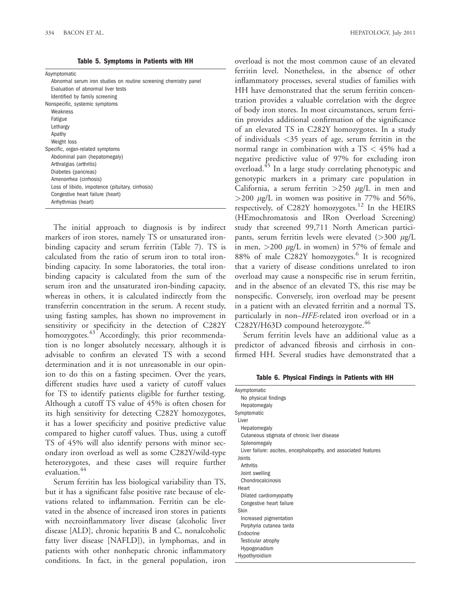Table 5. Symptoms in Patients with HH

| Asymptomatic                                                     |
|------------------------------------------------------------------|
| Abnormal serum iron studies on routine screening chemistry panel |
| Evaluation of abnormal liver tests                               |
| Identified by family screening                                   |
| Nonspecific, systemic symptoms                                   |
| Weakness                                                         |
| Fatigue                                                          |
| Lethargy                                                         |
| Apathy                                                           |
| Weight loss                                                      |
| Specific, organ-related symptoms                                 |
| Abdominal pain (hepatomegaly)                                    |
| Arthralgias (arthritis)                                          |
| Diabetes (pancreas)                                              |
| Amenorrhea (cirrhosis)                                           |
| Loss of libido, impotence (pituitary, cirrhosis)                 |
| Congestive heart failure (heart)                                 |
| Arrhythmias (heart)                                              |

The initial approach to diagnosis is by indirect markers of iron stores, namely TS or unsaturated ironbinding capacity and serum ferritin (Table 7). TS is calculated from the ratio of serum iron to total ironbinding capacity. In some laboratories, the total ironbinding capacity is calculated from the sum of the serum iron and the unsaturated iron-binding capacity, whereas in others, it is calculated indirectly from the transferrin concentration in the serum. A recent study, using fasting samples, has shown no improvement in sensitivity or specificity in the detection of C282Y homozygotes.<sup>43</sup> Accordingly, this prior recommendation is no longer absolutely necessary, although it is advisable to confirm an elevated TS with a second determination and it is not unreasonable in our opinion to do this on a fasting specimen. Over the years, different studies have used a variety of cutoff values for TS to identify patients eligible for further testing. Although a cutoff TS value of 45% is often chosen for its high sensitivity for detecting C282Y homozygotes, it has a lower specificity and positive predictive value compared to higher cutoff values. Thus, using a cutoff TS of 45% will also identify persons with minor secondary iron overload as well as some C282Y/wild-type heterozygotes, and these cases will require further evaluation.<sup>44</sup>

Serum ferritin has less biological variability than TS, but it has a significant false positive rate because of elevations related to inflammation. Ferritin can be elevated in the absence of increased iron stores in patients with necroinflammatory liver disease (alcoholic liver disease [ALD], chronic hepatitis B and C, nonalcoholic fatty liver disease [NAFLD]), in lymphomas, and in patients with other nonhepatic chronic inflammatory conditions. In fact, in the general population, iron

overload is not the most common cause of an elevated ferritin level. Nonetheless, in the absence of other inflammatory processes, several studies of families with HH have demonstrated that the serum ferritin concentration provides a valuable correlation with the degree of body iron stores. In most circumstances, serum ferritin provides additional confirmation of the significance of an elevated TS in C282Y homozygotes. In a study of individuals <35 years of age, serum ferritin in the normal range in combination with a  $TS < 45\%$  had a negative predictive value of 97% for excluding iron overload.<sup>45</sup> In a large study correlating phenotypic and genotypic markers in a primary care population in California, a serum ferritin  $>250 \mu g/L$  in men and  $>$  200  $\mu$ g/L in women was positive in 77% and 56%, respectively, of C282Y homozygotes.<sup>12</sup> In the HEIRS (HEmochromatosis and IRon Overload Screening) study that screened 99,711 North American participants, serum ferritin levels were elevated  $(>300 \mu g/L)$ in men,  $>200 \mu g/L$  in women) in 57% of female and 88% of male C282Y homozygotes.<sup>6</sup> It is recognized that a variety of disease conditions unrelated to iron overload may cause a nonspecific rise in serum ferritin, and in the absence of an elevated TS, this rise may be nonspecific. Conversely, iron overload may be present in a patient with an elevated ferritin and a normal TS, particularly in non-HFE-related iron overload or in a C282Y/H63D compound heterozygote.<sup>46</sup>

Serum ferritin levels have an additional value as a predictor of advanced fibrosis and cirrhosis in confirmed HH. Several studies have demonstrated that a

Table 6. Physical Findings in Patients with HH

| Asymptomatic                                                    |
|-----------------------------------------------------------------|
| No physical findings                                            |
| Hepatomegaly                                                    |
| Symptomatic                                                     |
| I iver                                                          |
| Hepatomegaly                                                    |
| Cutaneous stigmata of chronic liver disease                     |
| Splenomegaly                                                    |
| Liver failure: ascites, encephalopathy, and associated features |
| Joints                                                          |
| Arthritis                                                       |
| Joint swelling                                                  |
| Chondrocalcinosis                                               |
| Heart                                                           |
| Dilated cardiomyopathy                                          |
| Congestive heart failure                                        |
| Skin                                                            |
| Increased pigmentation                                          |
| Porphyria cutanea tarda                                         |
| <b>Fndocrine</b>                                                |
| Testicular atrophy                                              |
| Hypogonadism                                                    |
| Hypothyroidism                                                  |
|                                                                 |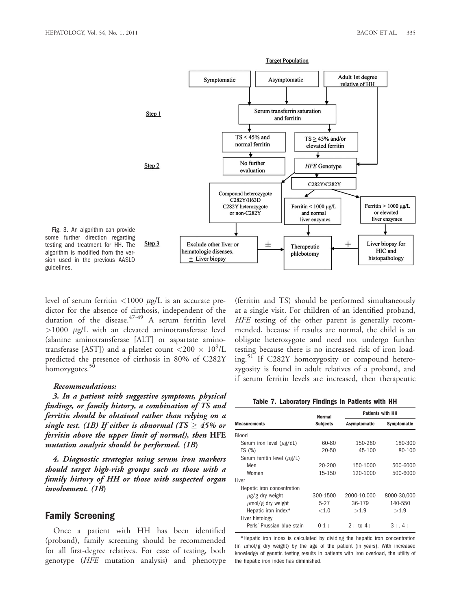

Fig. 3. An algorithm can provide some further direction regarding testing and treatment for HH. The algorithm is modified from the version used in the previous AASLD guidelines.

level of serum ferritin  $\langle 1000 \mu g/L \rangle$  is an accurate predictor for the absence of cirrhosis, independent of the duration of the disease.<sup>47-49</sup> A serum ferritin level  $>1000$  µg/L with an elevated aminotransferase level (alanine aminotransferase [ALT] or aspartate aminotransferase [AST]) and a platelet count <200  $\times$  10<sup>9</sup>/L predicted the presence of cirrhosis in 80% of C282Y homozygotes.<sup>5</sup>

#### Recommendations:

3. In a patient with suggestive symptoms, physical findings, or family history, a combination of TS and ferritin should be obtained rather than relying on a single test. (1B) If either is abnormal (TS  $\geq 45\%$  or ferritin above the upper limit of normal), then HFE mutation analysis should be performed. (1B)

4. Diagnostic strategies using serum iron markers should target high-risk groups such as those with a family history of HH or those with suspected organ involvement. (1B)

## Family Screening

Once a patient with HH has been identified (proband), family screening should be recommended for all first-degree relatives. For ease of testing, both genotype (HFE mutation analysis) and phenotype

(ferritin and TS) should be performed simultaneously at a single visit. For children of an identified proband, HFE testing of the other parent is generally recommended, because if results are normal, the child is an obligate heterozygote and need not undergo further testing because there is no increased risk of iron loading.<sup>51</sup> If C282Y homozygosity or compound heterozygosity is found in adult relatives of a proband, and if serum ferritin levels are increased, then therapeutic

Table 7. Laboratory Findings in Patients with HH

|                                  | <b>Normal</b>   | <b>Patients with HH</b> |                    |  |  |
|----------------------------------|-----------------|-------------------------|--------------------|--|--|
| <b>Measurements</b>              | <b>Subjects</b> | Asymptomatic            | <b>Symptomatic</b> |  |  |
| <b>Blood</b>                     |                 |                         |                    |  |  |
| Serum iron level $(\mu$ g/dL)    | 60-80           | 150-280                 | 180-300            |  |  |
| TS (%)                           | $20 - 50$       | 45-100                  | 80-100             |  |  |
| Serum ferritin level $(\mu g/L)$ |                 |                         |                    |  |  |
| Men                              | 20-200          | 150-1000                | 500-6000           |  |  |
| Women                            | 15-150          | 120-1000                | 500-6000           |  |  |
| Liver                            |                 |                         |                    |  |  |
| Hepatic iron concentration       |                 |                         |                    |  |  |
| $\mu$ g/g dry weight             | 300-1500        | 2000-10,000             | 8000-30,000        |  |  |
| $\mu$ mol/g dry weight           | $5 - 27$        | 36-179                  | 140-550            |  |  |
| Hepatic iron index*              | < 1.0           | >1.9                    | >1.9               |  |  |
| Liver histology                  |                 |                         |                    |  |  |
| Perls' Prussian blue stain       | $0 - 1 +$       | $2+$ to $4+$            | $3+$ , 4+          |  |  |

\*Hepatic iron index is calculated by dividing the hepatic iron concentration (in  $\mu$ mol/g dry weight) by the age of the patient (in years). With increased knowledge of genetic testing results in patients with iron overload, the utility of the hepatic iron index has diminished.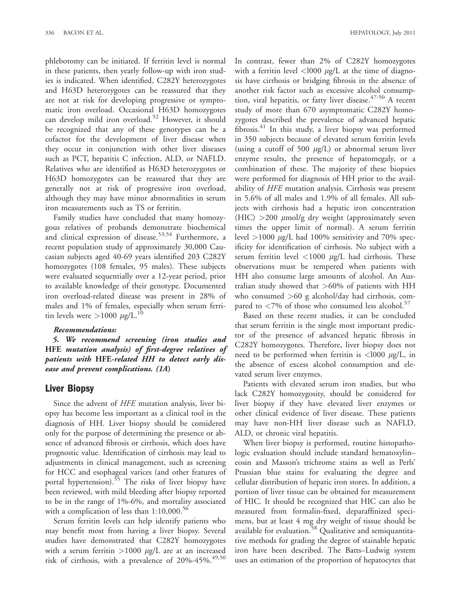phlebotomy can be initiated. If ferritin level is normal in these patients, then yearly follow-up with iron studies is indicated. When identified, C282Y heterozygotes and H63D heterozygotes can be reassured that they are not at risk for developing progressive or symptomatic iron overload. Occasional H63D homozygotes can develop mild iron overload.<sup>52</sup> However, it should be recognized that any of these genotypes can be a cofactor for the development of liver disease when they occur in conjunction with other liver diseases such as PCT, hepatitis C infection, ALD, or NAFLD. Relatives who are identified as H63D heterozygotes or H63D homozygotes can be reassured that they are generally not at risk of progressive iron overload, although they may have minor abnormalities in serum iron measurements such as TS or ferritin.

Family studies have concluded that many homozygous relatives of probands demonstrate biochemical and clinical expression of disease.<sup>53,54</sup> Furthermore, a recent population study of approximately 30,000 Caucasian subjects aged 40-69 years identified 203 C282Y homozygotes (108 females, 95 males). These subjects were evaluated sequentially over a 12-year period, prior to available knowledge of their genotype. Documented iron overload-related disease was present in 28% of males and 1% of females, especially when serum ferritin levels were  $>1000 \mu g/L$ .<sup>10</sup>

#### Recommendations:

5. We recommend screening (iron studies and HFE mutation analysis) of first-degree relatives of patients with HFE-related HH to detect early disease and prevent complications. (1A)

## Liver Biopsy

Since the advent of HFE mutation analysis, liver biopsy has become less important as a clinical tool in the diagnosis of HH. Liver biopsy should be considered only for the purpose of determining the presence or absence of advanced fibrosis or cirrhosis, which does have prognostic value. Identification of cirrhosis may lead to adjustments in clinical management, such as screening for HCC and esophageal varices (and other features of portal hypertension).<sup>55</sup> The risks of liver biopsy have been reviewed, with mild bleeding after biopsy reported to be in the range of 1%-6%, and mortality associated with a complication of less than  $1:10,000.^{56}$ 

Serum ferritin levels can help identify patients who may benefit most from having a liver biopsy. Several studies have demonstrated that C282Y homozygotes with a serum ferritin  $>1000 \mu g/L$  are at an increased risk of cirrhosis, with a prevalence of  $20\% - 45\%$ .<sup>49,50</sup> In contrast, fewer than 2% of C282Y homozygotes with a ferritin level  $\langle 1000 \ \mu g/L \rangle$  at the time of diagnosis have cirrhosis or bridging fibrosis in the absence of another risk factor such as excessive alcohol consumption, viral hepatitis, or fatty liver disease.  $47-50$  A recent study of more than 670 asymptomatic C282Y homozygotes described the prevalence of advanced hepatic fibrosis.<sup>41</sup> In this study, a liver biopsy was performed in 350 subjects because of elevated serum ferritin levels (using a cutoff of 500  $\mu$ g/L) or abnormal serum liver enzyme results, the presence of hepatomegaly, or a combination of these. The majority of these biopsies were performed for diagnosis of HH prior to the availability of HFE mutation analysis. Cirrhosis was present in 5.6% of all males and 1.9% of all females. All subjects with cirrhosis had a hepatic iron concentration (HIC)  $>$  200  $\mu$ mol/g dry weight (approximately seven times the upper limit of normal). A serum ferritin level  $>1000 \mu g/L$  had 100% sensitivity and 70% specificity for identification of cirrhosis. No subject with a serum ferritin level  $\langle 1000 \mu g/L \rangle$  had cirrhosis. These observations must be tempered when patients with HH also consume large amounts of alcohol. An Australian study showed that  $>60\%$  of patients with HH who consumed  $>60$  g alcohol/day had cirrhosis, compared to  $\langle 7\%$  of those who consumed less alcohol.<sup>57</sup>

Based on these recent studies, it can be concluded that serum ferritin is the single most important predictor of the presence of advanced hepatic fibrosis in C282Y homozygotes. Therefore, liver biopsy does not need to be performed when ferritin is  $\langle 1000 \mu g/L$ , in the absence of excess alcohol consumption and elevated serum liver enzymes.

Patients with elevated serum iron studies, but who lack C282Y homozygosity, should be considered for liver biopsy if they have elevated liver enzymes or other clinical evidence of liver disease. These patients may have non-HH liver disease such as NAFLD, ALD, or chronic viral hepatitis.

When liver biopsy is performed, routine histopathologic evaluation should include standard hematoxylin– eosin and Masson's trichrome stains as well as Perls' Prussian blue stains for evaluating the degree and cellular distribution of hepatic iron stores. In addition, a portion of liver tissue can be obtained for measurement of HIC. It should be recognized that HIC can also be measured from formalin-fixed, deparaffinized specimens, but at least 4 mg dry weight of tissue should be available for evaluation.<sup>58</sup> Qualitative and semiquantitative methods for grading the degree of stainable hepatic iron have been described. The Batts–Ludwig system uses an estimation of the proportion of hepatocytes that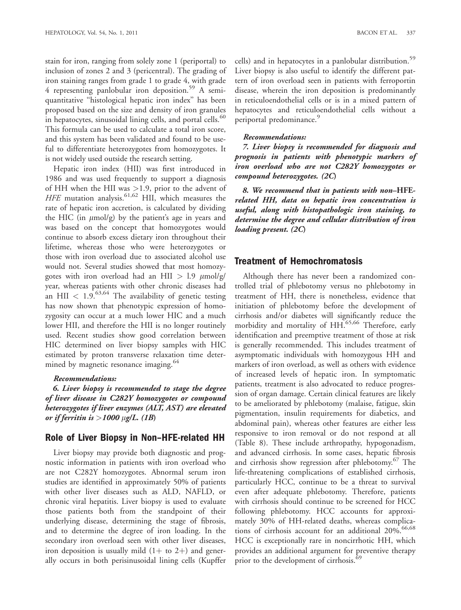stain for iron, ranging from solely zone 1 (periportal) to inclusion of zones 2 and 3 (pericentral). The grading of iron staining ranges from grade 1 to grade 4, with grade 4 representing panlobular iron deposition.<sup>59</sup> A semiquantitative ''histological hepatic iron index'' has been proposed based on the size and density of iron granules in hepatocytes, sinusoidal lining cells, and portal cells.<sup>60</sup> This formula can be used to calculate a total iron score, and this system has been validated and found to be useful to differentiate heterozygotes from homozygotes. It is not widely used outside the research setting.

Hepatic iron index (HII) was first introduced in 1986 and was used frequently to support a diagnosis of HH when the HII was  $>1.9$ , prior to the advent of HFE mutation analysis.<sup>61,62</sup> HII, which measures the rate of hepatic iron accretion, is calculated by dividing the HIC (in  $\mu$ mol/g) by the patient's age in years and was based on the concept that homozygotes would continue to absorb excess dietary iron throughout their lifetime, whereas those who were heterozygotes or those with iron overload due to associated alcohol use would not. Several studies showed that most homozygotes with iron overload had an HII  $> 1.9 \mu$ mol/g/ year, whereas patients with other chronic diseases had an HII  $\langle 1.9, \frac{63,64}{2}$  The availability of genetic testing has now shown that phenotypic expression of homozygosity can occur at a much lower HIC and a much lower HII, and therefore the HII is no longer routinely used. Recent studies show good correlation between HIC determined on liver biopsy samples with HIC estimated by proton transverse relaxation time determined by magnetic resonance imaging.<sup>64</sup>

#### Recommendations:

6. Liver biopsy is recommended to stage the degree of liver disease in C282Y homozygotes or compound heterozygotes if liver enzymes (ALT, AST) are elevated or if ferritin is  $>$ 1000  $\mu$ g/L. (1B)

## Role of Liver Biopsy in Non–HFE-related HH

Liver biopsy may provide both diagnostic and prognostic information in patients with iron overload who are not C282Y homozygotes. Abnormal serum iron studies are identified in approximately 50% of patients with other liver diseases such as ALD, NAFLD, or chronic viral hepatitis. Liver biopsy is used to evaluate those patients both from the standpoint of their underlying disease, determining the stage of fibrosis, and to determine the degree of iron loading. In the secondary iron overload seen with other liver diseases, iron deposition is usually mild  $(1+$  to  $2+)$  and generally occurs in both perisinusoidal lining cells (Kupffer cells) and in hepatocytes in a panlobular distribution.<sup>59</sup> Liver biopsy is also useful to identify the different pattern of iron overload seen in patients with ferroportin disease, wherein the iron deposition is predominantly in reticuloendothelial cells or is in a mixed pattern of hepatocytes and reticuloendothelial cells without a periportal predominance.<sup>9</sup>

#### Recommendations:

7. Liver biopsy is recommended for diagnosis and prognosis in patients with phenotypic markers of iron overload who are not C282Y homozygotes or compound heterozygotes. (2C)

8. We recommend that in patients with non–HFErelated HH, data on hepatic iron concentration is useful, along with histopathologic iron staining, to determine the degree and cellular distribution of iron loading present. (2C)

#### Treatment of Hemochromatosis

Although there has never been a randomized controlled trial of phlebotomy versus no phlebotomy in treatment of HH, there is nonetheless, evidence that initiation of phlebotomy before the development of cirrhosis and/or diabetes will significantly reduce the morbidity and mortality of HH.<sup>65,66</sup> Therefore, early identification and preemptive treatment of those at risk is generally recommended. This includes treatment of asymptomatic individuals with homozygous HH and markers of iron overload, as well as others with evidence of increased levels of hepatic iron. In symptomatic patients, treatment is also advocated to reduce progression of organ damage. Certain clinical features are likely to be ameliorated by phlebotomy (malaise, fatigue, skin pigmentation, insulin requirements for diabetics, and abdominal pain), whereas other features are either less responsive to iron removal or do not respond at all (Table 8). These include arthropathy, hypogonadism, and advanced cirrhosis. In some cases, hepatic fibrosis and cirrhosis show regression after phlebotomy.<sup>67</sup> The life-threatening complications of established cirrhosis, particularly HCC, continue to be a threat to survival even after adequate phlebotomy. Therefore, patients with cirrhosis should continue to be screened for HCC following phlebotomy. HCC accounts for approximately 30% of HH-related deaths, whereas complications of cirrhosis account for an additional  $20\%$ .<sup>66,68</sup> HCC is exceptionally rare in noncirrhotic HH, which provides an additional argument for preventive therapy prior to the development of cirrhosis.<sup>69</sup>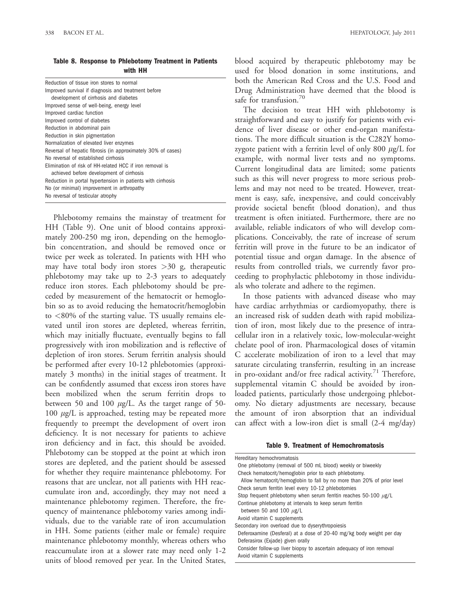|  |  | Table 8. Response to Phlebotomy Treatment in Patients |  |  |
|--|--|-------------------------------------------------------|--|--|
|  |  | with HH                                               |  |  |

| Reduction of tissue iron stores to normal                    |
|--------------------------------------------------------------|
| Improved survival if diagnosis and treatment before          |
| development of cirrhosis and diabetes                        |
| Improved sense of well-being, energy level                   |
| Improved cardiac function                                    |
| Improved control of diabetes                                 |
| Reduction in abdominal pain                                  |
| Reduction in skin pigmentation                               |
| Normalization of elevated liver enzymes                      |
| Reversal of hepatic fibrosis (in approximately 30% of cases) |
| No reversal of established cirrhosis                         |
| Elimination of risk of HH-related HCC if iron removal is     |
| achieved before development of cirrhosis                     |
| Reduction in portal hypertension in patients with cirrhosis  |
| No (or minimal) improvement in arthropathy                   |
| No reversal of testicular atrophy                            |
|                                                              |

Phlebotomy remains the mainstay of treatment for HH (Table 9). One unit of blood contains approximately 200-250 mg iron, depending on the hemoglobin concentration, and should be removed once or twice per week as tolerated. In patients with HH who may have total body iron stores  $>30$  g, therapeutic phlebotomy may take up to 2-3 years to adequately reduce iron stores. Each phlebotomy should be preceded by measurement of the hematocrit or hemoglobin so as to avoid reducing the hematocrit/hemoglobin to <80% of the starting value. TS usually remains elevated until iron stores are depleted, whereas ferritin, which may initially fluctuate, eventually begins to fall progressively with iron mobilization and is reflective of depletion of iron stores. Serum ferritin analysis should be performed after every 10-12 phlebotomies (approximately 3 months) in the initial stages of treatment. It can be confidently assumed that excess iron stores have been mobilized when the serum ferritin drops to between 50 and 100  $\mu$ g/L. As the target range of 50-100  $\mu$ g/L is approached, testing may be repeated more frequently to preempt the development of overt iron deficiency. It is not necessary for patients to achieve iron deficiency and in fact, this should be avoided. Phlebotomy can be stopped at the point at which iron stores are depleted, and the patient should be assessed for whether they require maintenance phlebotomy. For reasons that are unclear, not all patients with HH reaccumulate iron and, accordingly, they may not need a maintenance phlebotomy regimen. Therefore, the frequency of maintenance phlebotomy varies among individuals, due to the variable rate of iron accumulation in HH. Some patients (either male or female) require maintenance phlebotomy monthly, whereas others who reaccumulate iron at a slower rate may need only 1-2 units of blood removed per year. In the United States,

blood acquired by therapeutic phlebotomy may be used for blood donation in some institutions, and both the American Red Cross and the U.S. Food and Drug Administration have deemed that the blood is safe for transfusion.<sup>70</sup>

The decision to treat HH with phlebotomy is straightforward and easy to justify for patients with evidence of liver disease or other end-organ manifestations. The more difficult situation is the C282Y homozygote patient with a ferritin level of only 800  $\mu$ g/L for example, with normal liver tests and no symptoms. Current longitudinal data are limited; some patients such as this will never progress to more serious problems and may not need to be treated. However, treatment is easy, safe, inexpensive, and could conceivably provide societal benefit (blood donation), and thus treatment is often initiated. Furthermore, there are no available, reliable indicators of who will develop complications. Conceivably, the rate of increase of serum ferritin will prove in the future to be an indicator of potential tissue and organ damage. In the absence of results from controlled trials, we currently favor proceeding to prophylactic phlebotomy in those individuals who tolerate and adhere to the regimen.

In those patients with advanced disease who may have cardiac arrhythmias or cardiomyopathy, there is an increased risk of sudden death with rapid mobilization of iron, most likely due to the presence of intracellular iron in a relatively toxic, low-molecular-weight chelate pool of iron. Pharmacological doses of vitamin C accelerate mobilization of iron to a level that may saturate circulating transferrin, resulting in an increase in pro-oxidant and/or free radical activity.<sup>71</sup> Therefore, supplemental vitamin C should be avoided by ironloaded patients, particularly those undergoing phlebotomy. No dietary adjustments are necessary, because the amount of iron absorption that an individual can affect with a low-iron diet is small (2-4 mg/day)

#### Table 9. Treatment of Hemochromatosis

| Hereditary hemochromatosis                                             |
|------------------------------------------------------------------------|
| One phlebotomy (removal of 500 mL blood) weekly or biweekly            |
| Check hematocrit/hemoglobin prior to each phlebotomy.                  |
| Allow hematocrit/hemoglobin to fall by no more than 20% of prior level |
| Check serum ferritin level every 10-12 phlebotomies                    |
| Stop frequent phlebotomy when serum ferritin reaches 50-100 $\mu$ g/L  |
| Continue phlebotomy at intervals to keep serum ferritin                |
| between 50 and 100 $\mu$ g/L                                           |
| Avoid vitamin C supplements                                            |
| Secondary iron overload due to dyserythropoiesis                       |
| Deferoxamine (Desferal) at a dose of 20-40 mg/kg body weight per day   |
| Deferasirox (Exjade) given orally                                      |
| Consider follow-up liver biopsy to ascertain adequacy of iron removal  |
| Avoid vitamin C supplements                                            |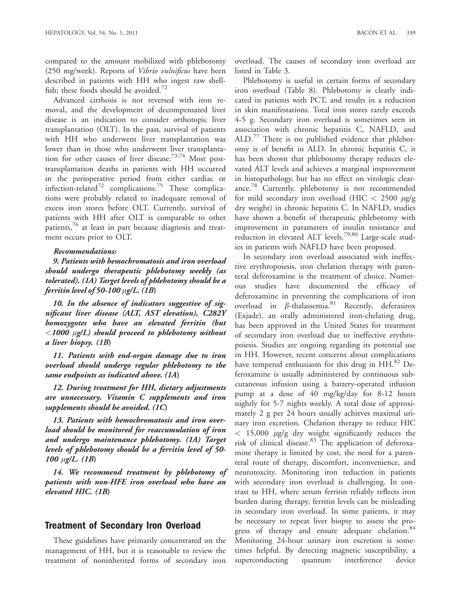compared to the amount mobilized with phlebotomy (250 mg/week). Reports of Vibrio vulnificus have been described in patients with HH who ingest raw shellfish; these foods should be avoided.<sup>72</sup>

Advanced cirrhosis is not reversed with iron removal, and the development of decompensated liver disease is an indication to consider orthotopic liver transplantation (OLT). In the past, survival of patients with HH who underwent liver transplantation was lower than in those who underwent liver transplantation for other causes of liver disease.<sup>73,74</sup> Most posttransplantation deaths in patients with HH occurred in the perioperative period from either cardiac or infection-related<sup>72</sup> complications.<sup>75</sup> These complications were probably related to inadequate removal of excess iron stores before OLT. Currently, survival of patients with HH after OLT is comparable to other patients,<sup>76</sup> at least in part because diagnosis and treatment occurs prior to OLT.

#### Recommendations:

9. Patients with hemochromatosis and iron overload should undergo therapeutic phlebotomy weekly (as tolerated). (1A) Target levels of phlebotomy should be a ferritin level of 50-100  $\mu$ g/L. (1B)

10. In the absence of indicators suggestive of significant liver disease (ALT, AST elevation), C282Y homozygotes who have an elevated ferritin (but  $<$ 1000  $\mu$ g/L) should proceed to phlebotomy without a liver biopsy. (1B)

11. Patients with end-organ damage due to iron overload should undergo regular phlebotomy to the same endpoints as indicated above. (1A)

12. During treatment for HH, dietary adjustments are unnecessary. Vitamin C supplements and iron supplements should be avoided. (1C)

13. Patients with hemochromatosis and iron overload should be monitored for reaccumulation of iron and undergo maintenance phlebotomy. (1A) Target levels of phlebotomy should be a ferritin level of 50- 100  $\mu$ g/L. (1B)

14. We recommend treatment by phlebotomy of patients with non-HFE iron overload who have an elevated HIC. (1B)

#### Treatment of Secondary Iron Overload

These guidelines have primarily concentrated on the management of HH, but it is reasonable to review the treatment of noninherited forms of secondary iron

overload. The causes of secondary iron overload are listed in Table 3.

Phlebotomy is useful in certain forms of secondary iron overload (Table 8). Phlebotomy is clearly indicated in patients with PCT, and results in a reduction in skin manifestations. Total iron stores rarely exceeds 4-5 g. Secondary iron overload is sometimes seen in association with chronic hepatitis C, NAFLD, and  $ALD.77$  There is no published evidence that phlebotomy is of benefit in ALD. In chronic hepatitis C, it has been shown that phlebotomy therapy reduces elevated ALT levels and achieves a marginal improvement in histopathology, but has no effect on virologic clearance.<sup>78</sup> Currently, phlebotomy is not recommended for mild secondary iron overload (HIC  $<$  2500  $\mu$ g/g dry weight) in chronic hepatitis C. In NAFLD, studies have shown a benefit of therapeutic phlebotomy with improvement in parameters of insulin resistance and reduction in elevated ALT levels.<sup>79,80</sup> Large-scale studies in patients with NAFLD have been proposed.

In secondary iron overload associated with ineffective erythropoiesis, iron chelation therapy with parenteral deferoxamine is the treatment of choice. Numerous studies have documented the efficacy of deferoxamine in preventing the complications of iron overload in  $\beta$ -thalassemia.<sup>81</sup> Recently, deferasirox (Exjade), an orally administered iron-chelating drug, has been approved in the United States for treatment of secondary iron overload due to ineffective erythropoiesis. Studies are ongoing regarding its potential use in HH. However, recent concerns about complications have tempered enthusiasm for this drug in  $HH<sup>82</sup>$  Deferoxamine is usually administered by continuous subcutaneous infusion using a battery-operated infusion pump at a dose of 40 mg/kg/day for 8-12 hours nightly for 5-7 nights weekly. A total dose of approximately 2 g per 24 hours usually achieves maximal urinary iron excretion. Chelation therapy to reduce HIC  $<$  15,000  $\mu$ g/g dry weight significantly reduces the risk of clinical disease.<sup>83</sup> The application of deferoxamine therapy is limited by cost, the need for a parenteral route of therapy, discomfort, inconvenience, and neurotoxcity. Monitoring iron reduction in patients with secondary iron overload is challenging. In contrast to HH, where serum ferritin reliably reflects iron burden during therapy, ferritin levels can be misleading in secondary iron overload. In some patients, it may be necessary to repeat liver biopsy to assess the progress of therapy and ensure adequate chelation.<sup>84</sup> Monitoring 24-hour urinary iron excretion is sometimes helpful. By detecting magnetic susceptibility, a superconducting quantum interference device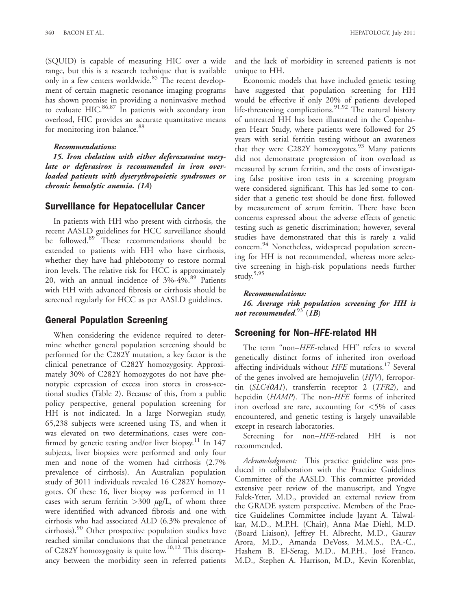(SQUID) is capable of measuring HIC over a wide range, but this is a research technique that is available only in a few centers worldwide.<sup>85</sup> The recent development of certain magnetic resonance imaging programs has shown promise in providing a noninvasive method to evaluate HIC.<sup>86,87</sup> In patients with secondary iron overload, HIC provides an accurate quantitative means for monitoring iron balance.<sup>88</sup>

#### Recommendations:

15. Iron chelation with either deferoxamine mesylate or deferasirox is recommended in iron overloaded patients with dyserythropoietic syndromes or chronic hemolytic anemia. (1A)

#### Surveillance for Hepatocellular Cancer

In patients with HH who present with cirrhosis, the recent AASLD guidelines for HCC surveillance should be followed.<sup>89</sup> These recommendations should be extended to patients with HH who have cirrhosis, whether they have had phlebotomy to restore normal iron levels. The relative risk for HCC is approximately 20, with an annual incidence of  $3\% - 4\%$ .<sup>89</sup> Patients with HH with advanced fibrosis or cirrhosis should be screened regularly for HCC as per AASLD guidelines.

## General Population Screening

When considering the evidence required to determine whether general population screening should be performed for the C282Y mutation, a key factor is the clinical penetrance of C282Y homozygosity. Approximately 30% of C282Y homozygotes do not have phenotypic expression of excess iron stores in cross-sectional studies (Table 2). Because of this, from a public policy perspective, general population screening for HH is not indicated. In a large Norwegian study, 65,238 subjects were screened using TS, and when it was elevated on two determinations, cases were confirmed by genetic testing and/or liver biopsy.<sup>11</sup> In 147 subjects, liver biopsies were performed and only four men and none of the women had cirrhosis (2.7% prevalence of cirrhosis). An Australian population study of 3011 individuals revealed 16 C282Y homozygotes. Of these 16, liver biopsy was performed in 11 cases with serum ferritin  $>300 \mu g/L$ , of whom three were identified with advanced fibrosis and one with cirrhosis who had associated ALD (6.3% prevalence of cirrhosis).<sup>90</sup> Other prospective population studies have reached similar conclusions that the clinical penetrance of C282Y homozygosity is quite low.<sup>10,12</sup> This discrepancy between the morbidity seen in referred patients

and the lack of morbidity in screened patients is not unique to HH.

Economic models that have included genetic testing have suggested that population screening for HH would be effective if only 20% of patients developed life-threatening complications.  $91,92$  The natural history of untreated HH has been illustrated in the Copenhagen Heart Study, where patients were followed for 25 years with serial ferritin testing without an awareness that they were C282Y homozygotes.<sup>93</sup> Many patients did not demonstrate progression of iron overload as measured by serum ferritin, and the costs of investigating false positive iron tests in a screening program were considered significant. This has led some to consider that a genetic test should be done first, followed by measurement of serum ferritin. There have been concerns expressed about the adverse effects of genetic testing such as genetic discrimination; however, several studies have demonstrated that this is rarely a valid concern.<sup>94</sup> Nonetheless, widespread population screening for HH is not recommended, whereas more selective screening in high-risk populations needs further study.5,95

Recommendations: 16. Average risk population screening for HH is not recommended.  $93 \hat{\phantom{a}} (1B)$ 

## Screening for Non–HFE-related HH

The term "non-HFE-related HH" refers to several genetically distinct forms of inherited iron overload affecting individuals without  $HFE$  mutations.<sup>17</sup> Several of the genes involved are hemojuvelin  $(HJV)$ , ferroportin (SLC40A1), transferrin receptor 2 (TFR2), and hepcidin (HAMP). The non-HFE forms of inherited iron overload are rare, accounting for <5% of cases encountered, and genetic testing is largely unavailable except in research laboratories.

Screening for non–*HFE*-related HH is not recommended.

Acknowledgment: This practice guideline was produced in collaboration with the Practice Guidelines Committee of the AASLD. This committee provided extensive peer review of the manuscript, and Yngve Falck-Ytter, M.D., provided an external review from the GRADE system perspective. Members of the Practice Guidelines Committee include Jayant A. Talwalkar, M.D., M.P.H. (Chair), Anna Mae Diehl, M.D. (Board Liaison), Jeffrey H. Albrecht, M.D., Gaurav Arora, M.D., Amanda DeVoss, M.M.S., P.A.-C., Hashem B. El-Serag, M.D., M.P.H., José Franco, M.D., Stephen A. Harrison, M.D., Kevin Korenblat,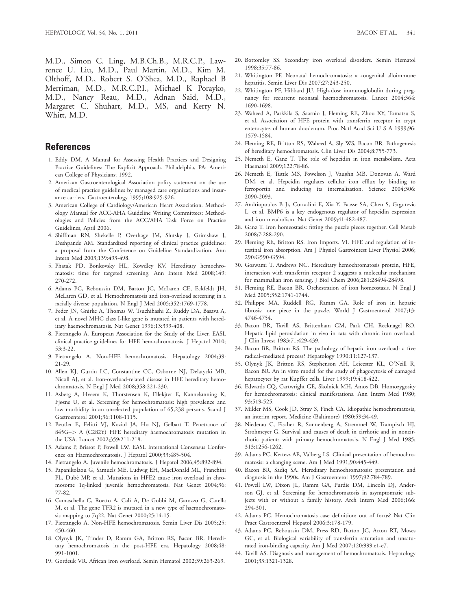M.D., Simon C. Ling, M.B.Ch.B., M.R.C.P., Lawrence U. Liu, M.D., Paul Martin, M.D., Kim M. Olthoff, M.D., Robert S. O'Shea, M.D., Raphael B Merriman, M.D., M.R.C.P.I., Michael K Porayko, M.D., Nancy Reau, M.D., Adnan Said, M.D., Margaret C. Shuhart, M.D., MS, and Kerry N. Whitt, M.D.

# References

- 1. Eddy DM. A Manual for Assessing Health Practices and Designing Practice Guidelines: The Explicit Approach. Philadelphia, PA: American College of Physicians; 1992.
- 2. American Gastroenterological Association policy statement on the use of medical practice guidelines by managed care organizations and insurance carriers. Gastroenterology 1995;108:925-926.
- 3. American College of Cardiology/American Heart Association. Methodology Manual for ACC-AHA Guideline Writing Committees: Methodologies and Policies from the ACC/AHA Task Force on Practice Guidelines, April 2006.
- 4. Shiffman RN, Shekelle P, Overhage JM, Slutsky J, Grimshaw J, Deshpande AM. Standardized reporting of clinical practice guidelines: a proposal from the Conference on Guideline Standardization. Ann Intern Med 2003;139:493-498.
- 5. Phatak PD, Bonkovsky HL, Kowdley KV. Hereditary hemochromatosis: time for targeted screening. Ann Intern Med 2008;149: 270-272.
- 6. Adams PC, Reboussin DM, Barton JC, McLaren CE, Eckfeldt JH, McLaren GD, et al. Hemochromatosis and iron-overload screening in a racially diverse population. N Engl J Med 2005;352:1769-1778.
- 7. Feder JN, Gnirke A, Thomas W, Tsuchihashi Z, Ruddy DA, Basava A, et al. A novel MHC class I-like gene is mutated in patients with hereditary haemochromatosis. Nat Genet 1996;13:399-408.
- 8. Pietrangelo A. European Association for the Study of the Liver. EASL clinical practice guidelines for HFE hemochromatosis. J Hepatol 2010; 53:3-22.
- 9. Pietrangelo A. Non-HFE hemochromatosis. Hepatology 2004;39: 21-29.
- 10. Allen KJ, Gurrin LC, Constantine CC, Osborne NJ, Delatycki MB, Nicoll AJ, et al. Iron-overload-related disease in HFE hereditary hemochromatosis. N Engl J Med 2008;358:221-230.
- 11. Asberg A, Hveem K, Thorstensen K, Ellekjter E, Kannelønning K, Fjøsne U, et al. Screening for hemochromatosis: high prevalence and low morbidity in an unselected population of 65,238 persons. Scand J Gastroenterol 2001;36:1108-1115.
- 12. Beutler E, Felitti VJ, Koziol JA, Ho NJ, Gelbart T. Penetrance of 845G–> A (C282Y) HFE hereditary haemochromatosis mutation in the USA. Lancet 2002;359:211-218.
- 13. Adams P, Brissot P, Powell LW. EASL International Consensus Conference on Haemochromatosis. J Hepatol 2000;33:485-504.
- 14. Pietrangelo A. Juvenile hemochromatosis. J Hepatol 2006;45:892-894.
- 15. Papanikolaou G, Samuels ME, Ludwig EH, MacDonald ML, Franchini PL, Dubé MP, et al. Mutations in HFE2 cause iron overload in chromosome 1q-linked juvenile hemochromatosis. Nat Genet 2004;36: 77-82.
- 16. Camaschella C, Roetto A, Calı` A, De Gobbi M, Garozzo G, Carella M, et al. The gene TFR2 is mutated in a new type of haemochromatosis mapping to 7q22. Nat Genet 2000;25:14-15.
- 17. Pietrangelo A. Non-HFE hemochromatosis. Semin Liver Dis 2005;25: 450-460.
- 18. Olynyk JK, Trinder D, Ramm GA, Britton RS, Bacon BR. Hereditary hemochromatosis in the post-HFE era. Hepatology 2008;48: 991-1001.
- 19. Gordeuk VR. African iron overload. Semin Hematol 2002;39:263-269.
- 20. Bottomley SS. Secondary iron overload disorders. Semin Hematol
- 1998;35:77-86. 21. Whitington PF. Neonatal hemochromatosis: a congenital alloimmune hepatitis. Semin Liver Dis 2007;27:243-250.
- 22. Whitington PF, Hibbard JU. High-dose immunoglobulin during pregnancy for recurrent neonatal haemochromatosis. Lancet 2004;364: 1690-1698.
- 23. Waheed A, Parkkila S, Saarnio J, Fleming RE, Zhou XY, Tomatsu S, et al. Association of HFE protein with transferrin receptor in crypt enterocytes of human duodenum. Proc Natl Acad Sci U S A 1999;96: 1579-1584.
- 24. Fleming RE, Britton RS, Waheed A, Sly WS, Bacon BR. Pathogenesis of hereditary hemochromatosis. Clin Liver Dis 2004;8:755-773.
- 25. Nemeth E, Ganz T. The role of hepcidin in iron metabolism. Acta Haematol 2009;122:78-86.
- 26. Nemeth E, Tuttle MS, Powelson J, Vaughn MB, Donovan A, Ward DM, et al. Hepcidin regulates cellular iron efflux by binding to ferroportin and inducing its internalization. Science 2004;306: 2090-2093.
- 27. Andriopoulos B Jr, Corradini E, Xia Y, Faasse SA, Chen S, Grgurevic L, et al. BMP6 is a key endogenous regulator of hepcidin expression and iron metabolism. Nat Genet 2009;41:482-487.
- 28. Ganz T. Iron homeostasis: fitting the puzzle pieces together. Cell Metab 2008;7:288-290.
- 29. Fleming RE, Britton RS. Iron Imports. VI. HFE and regulation of intestinal iron absorption. Am J Physiol Gastrointest Liver Physiol 2006; 290:G590-G594.
- 30. Goswami T, Andrews NC. Hereditary hemochromatosis protein, HFE, interaction with transferrin receptor 2 suggests a molecular mechanism for mammalian iron sensing. J Biol Chem 2006;281:28494-28498.
- 31. Fleming RE, Bacon BR. Orchestration of iron homeostasis. N Engl J Med 2005;352:1741-1744.
- 32. Philippe MA, Ruddell RG, Ramm GA. Role of iron in hepatic fibrosis: one piece in the puzzle. World J Gastroenterol 2007;13: 4746-4754.
- 33. Bacon BR, Tavill AS, Brittenham GM, Park CH, Recknagel RO. Hepatic lipid peroxidation in vivo in rats with chronic iron overload. J Clin Invest 1983;71:429-439.
- 34. Bacon BR, Britton RS. The pathology of hepatic iron overload: a free radical–mediated process? Hepatology 1990;11:127-137.
- 35. Olynyk JK, Britton RS, Stephenson AH, Leicester KL, O'Neill R, Bacon BR. An in vitro model for the study of phagocytosis of damaged hepatocytes by rat Kupffer cells. Liver 1999;19:418-422.
- 36. Edwards CQ, Cartwright GE, Skolnick MH, Amos DB. Homozygosity for hemochromatosis: clinical manifestations. Ann Intern Med 1980; 93:519-525.
- 37. Milder MS, Cook JD, Stray S, Finch CA. Idiopathic hemochromatosis, an interim report. Medicine (Baltimore) 1980;59:34-49.
- 38. Niederau C, Fischer R, Sonnenberg A, Stremmel W, Trampisch HJ, Strohmeyer G. Survival and causes of death in cirrhotic and in noncirrhotic patients with primary hemochromatosis. N Engl J Med 1985; 313:1256-1262.
- 39. Adams PC, Kertesz AE, Valberg LS. Clinical presentation of hemochromatosis: a changing scene. Am J Med 1991;90:445-449.
- 40. Bacon BR, Sadiq SA. Hereditary hemochromatosis: presentation and diagnosis in the 1990s. Am J Gastroenterol 1997;92:784-789.
- 41. Powell LW, Dixon JL, Ramm GA, Purdie DM, Lincoln DJ, Anderson GJ, et al. Screening for hemochromatosis in asymptomatic subjects with or without a family history. Arch Intern Med 2006;166: 294-301.
- 42. Adams PC. Hemochromatosis case definition: out of focus? Nat Clin Pract Gastroenterol Hepatol 2006;3:178-179.
- 43. Adams PC, Reboussin DM, Press RD, Barton JC, Acton RT, Moses GC, et al. Biological variability of transferrin saturation and unsaturated iron-binding capacity. Am J Med 2007;120:999.e1-e7.
- 44. Tavill AS. Diagnosis and management of hemochromatosis. Hepatology 2001;33:1321-1328.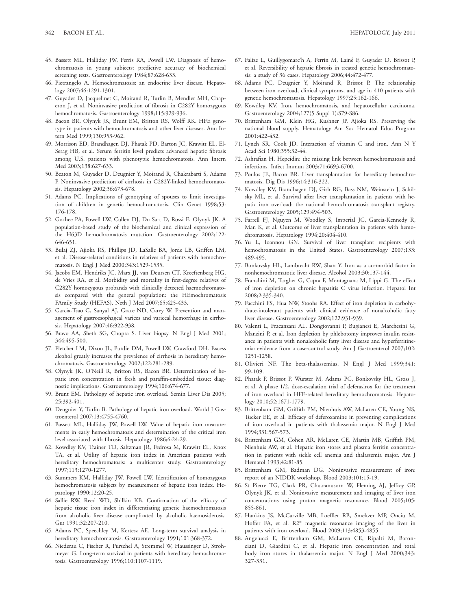- 45. Bassett ML, Halliday JW, Ferris RA, Powell LW. Diagnosis of hemochromatosis in young subjects: predictive accuracy of biochemical screening tests. Gastroenterology 1984;87:628-633.
- 46. Pietrangelo A. Hemochromatosis: an endocrine liver disease. Hepatology 2007;46:1291-1301.
- 47. Guyader D, Jacquelinet C, Moirand R, Turlin B, Mendler MH, Chaperon J, et al. Noninvasive prediction of fibrosis in C282Y homozygous hemochromatosis. Gastroenterology 1998;115:929-936.
- 48. Bacon BR, Olynyk JK, Brunt EM, Britton RS, Wolff RK. HFE genotype in patients with hemochromatosis and other liver diseases. Ann Intern Med 1999;130:953-962.
- 49. Morrison ED, Brandhagen DJ, Phatak PD, Barton JC, Krawitt EL, El-Serag HB, et al. Serum ferritin level predicts advanced hepatic fibrosis among U.S. patients with phenotypic hemochromatosis. Ann Intern Med 2003;138:627-633.
- 50. Beaton M, Guyader D, Deugnier Y, Moirand R, Chakrabarti S, Adams P. Noninvasive prediction of cirrhosis in C282Y-linked hemochromatosis. Hepatology 2002;36:673-678.
- 51. Adams PC. Implications of genotyping of spouses to limit investigation of children in genetic hemochromatosis. Clin Genet 1998;53: 176-178.
- 52. Gochee PA, Powell LW, Cullen DJ, Du Sart D, Rossi E, Olynyk JK. A population-based study of the biochemical and clinical expression of the H63D hemochromatosis mutation. Gastroenterology 2002;122: 646-651.
- 53. Bulaj ZJ, Ajioka RS, Phillips JD, LaSalle BA, Jorde LB, Griffen LM, et al. Disease-related conditions in relatives of patients with hemochromatosis. N Engl J Med 2000;343:1529-1535.
- 54. Jacobs EM, Hendriks JC, Marx JJ, van Deursen CT, Kreeftenberg HG, de Vries RA, et al. Morbidity and mortality in first-degree relatives of C282Y homozygous probands with clinically detected haemochromatosis compared with the general population: the HEmochromatosis FAmily Study (HEFAS). Neth J Med 2007;65:425-433.
- 55. Garcia-Tsao G, Sanyal AJ, Grace ND, Carey W. Prevention and management of gastroesophageal varices and variceal hemorrhage in cirrhosis. Hepatology 2007;46:922-938.
- 56. Bravo AA, Sheth SG, Chopra S. Liver biopsy. N Engl J Med 2001; 344:495-500.
- 57. Fletcher LM, Dixon JL, Purdie DM, Powell LW, Crawford DH. Excess alcohol greatly increases the prevalence of cirrhosis in hereditary hemochromatosis. Gastroenterology 2002;122:281-289.
- 58. Olynyk JK, O'Neill R, Britton RS, Bacon BR. Determination of hepatic iron concentration in fresh and paraffin-embedded tissue: diagnostic implications. Gastroenterology 1994;106:674-677.
- 59. Brunt EM. Pathology of hepatic iron overload. Semin Liver Dis 2005; 25:392-401.
- 60. Deugnier Y, Turlin B. Pathology of hepatic iron overload. World J Gastroenterol 2007;13:4755-4760.
- 61. Bassett ML, Halliday JW, Powell LW. Value of hepatic iron measurements in early hemochromatosis and determination of the critical iron level associated with fibrosis. Hepatology 1986;6:24-29.
- 62. Kowdley KV, Trainer TD, Saltzman JR, Pedrosa M, Krawitt EL, Knox TA, et al. Utility of hepatic iron index in American patients with hereditary hemochromatosis: a multicenter study. Gastroenterology 1997;113:1270-1277.
- 63. Summers KM, Halliday JW, Powell LW. Identification of homozygous hemochromatosis subjects by measurement of hepatic iron index. Hepatology 1990;12:20-25.
- 64. Sallie RW, Reed WD, Shilkin KB. Confirmation of the efficacy of hepatic tissue iron index in differentiating genetic haemochromatosis from alcoholic liver disease complicated by alcoholic haemosiderosis. Gut 1991;32:207-210.
- 65. Adams PC, Speechley M, Kertesz AE. Long-term survival analysis in hereditary hemochromatosis. Gastroenterology 1991;101:368-372.
- 66. Niederau C, Fischer R, Purschel A, Stremmel W, Haussinger D, Strohmeyer G. Long-term survival in patients with hereditary hemochromatosis. Gastroenterology 1996;110:1107-1119.
- 67. Falize L, Guillygomarc'h A, Perrin M, Lainé F, Guyader D, Brissot P, et al. Reversibility of hepatic fibrosis in treated genetic hemochromatosis: a study of 36 cases. Hepatology 2006;44:472-477.
- 68. Adams PC, Deugnier Y, Moirand R, Brissot P. The relationship between iron overload, clinical symptoms, and age in 410 patients with genetic hemochromatosis. Hepatology 1997;25:162-166.
- 69. Kowdley KV. Iron, hemochromatosis, and hepatocellular carcinoma. Gastroenterology 2004;127(5 Suppl 1):S79-S86.
- 70. Brittenham GM, Klein HG, Kushner JP, Ajioka RS. Preserving the national blood supply. Hematology Am Soc Hematol Educ Program 2001:422-432.
- 71. Lynch SR, Cook JD. Interaction of vitamin C and iron. Ann N Y Acad Sci 1980;355:32-44.
- 72. Ashrafian H. Hepcidin: the missing link between hemochromatosis and infections. Infect Immun 2003;71:6693-6700.
- 73. Poulos JE, Bacon BR. Liver transplantation for hereditary hemochromatosis. Dig Dis 1996;14:316-322.
- 74. Kowdley KV, Brandhagen DJ, Gish RG, Bass NM, Weinstein J, Schilsky ML, et al. Survival after liver transplantation in patients with hepatic iron overload: the national hemochromatosis transplant registry. Gastroenterology 2005;129:494-503.
- 75. Farrell FJ, Nguyen M, Woodley S, Imperial JC, Garcia-Kennedy R, Man K, et al. Outcome of liver transplantation in patients with hemochromatosis. Hepatology 1994;20:404-410.
- 76. Yu L, Ioannou GN. Survival of liver transplant recipients with hemochromatosis in the United States. Gastroenterology 2007;133: 489-495.
- 77. Bonkovsky HL, Lambrecht RW, Shan Y. Iron as a co-morbid factor in nonhemochromatotic liver disease. Alcohol 2003;30:137-144.
- 78. Franchini M, Targher G, Capra F, Montagnana M, Lippi G. The effect of iron depletion on chronic hepatitis C virus infection. Hepatol Int 2008;2:335-340.
- 79. Facchini FS, Hua NW, Stoohs RA. Effect of iron depletion in carbohydrate-intolerant patients with clinical evidence of nonalcoholic fatty liver disease. Gastroenterology 2002;122:931-939.
- 80. Valenti L, Fracanzani AL, Dongiovanni P, Bugianesi E, Marchesini G, Manzini P, et al. Iron depletion by phlebotomy improves insulin resistance in patients with nonalcoholic fatty liver disease and hyperferritinemia: evidence from a case-control study. Am J Gastroenterol 2007;102: 1251-1258.
- 81. Olivieri NF. The beta-thalassemias. N Engl J Med 1999;341: 99-109.
- 82. Phatak P, Brissot P, Wurster M, Adams PC, Bonkovsky HL, Gross J, et al. A phase 1/2, dose-escalation trial of deferasirox for the treatment of iron overload in HFE-related hereditary hemochromatosis. Hepatology 2010;52:1671-1779.
- 83. Brittenham GM, Griffith PM, Nienhuis AW, McLaren CE, Young NS, Tucker EE, et al. Efficacy of deferoxamine in preventing complications of iron overload in patients with thalassemia major. N Engl J Med 1994;331:567-573.
- 84. Brittenham GM, Cohen AR, McLaren CE, Martin MB, Griffith PM, Nienhuis AW, et al. Hepatic iron stores and plasma ferritin concentration in patients with sickle cell anemia and thalassemia major. Am J Hematol 1993;42:81-85.
- 85. Brittenham GM, Badman DG. Noninvasive measurement of iron: report of an NIDDK workshop. Blood 2003;101:15-19.
- 86. St Pierre TG, Clark PR, Chua-anusorn W, Fleming AJ, Jeffrey GP, Olynyk JK, et al. Noninvasive measurement and imaging of liver iron concentrations using proton magnetic resonance. Blood 2005;105: 855-861.
- 87. Hankins JS, McCarville MB, Loeffler RB, Smeltzer MP, Onciu M, Hoffer FA, et al. R2\* magnetic resonance imaging of the liver in patients with iron overload. Blood 2009;113:4853-4855.
- 88. Angelucci E, Brittenham GM, McLaren CE, Ripalti M, Baronciani D, Giardini C, et al. Hepatic iron concentration and total body iron stores in thalassemia major. N Engl J Med 2000;343: 327-331.